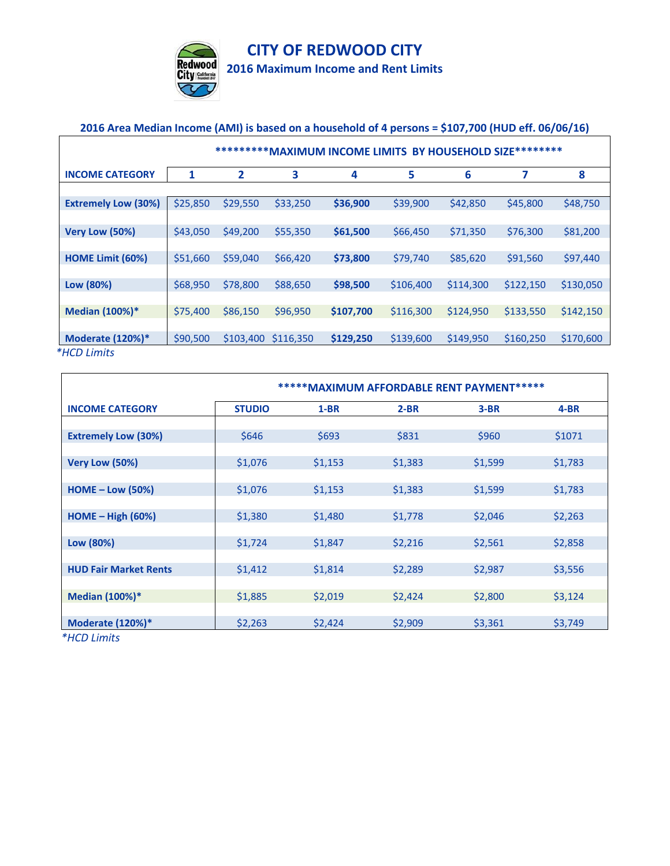

## **CITY OF REDWOOD CITY**

**2016 Maximum Income and Rent Limits**

## **2016 Area Median Income (AMI) is based on a household of 4 persons = \$107,700 (HUD eff. 06/06/16)**

|                            | **********MAXIMUM INCOME LIMITS BY HOUSEHOLD SIZE********* |           |           |           |           |           |           |           |  |  |
|----------------------------|------------------------------------------------------------|-----------|-----------|-----------|-----------|-----------|-----------|-----------|--|--|
| <b>INCOME CATEGORY</b>     | 1                                                          | 2         | 3         | 4         | 5         | 6         | 7         | 8         |  |  |
| <b>Extremely Low (30%)</b> | \$25,850                                                   | \$29,550  | \$33,250  | \$36,900  | \$39,900  | \$42,850  | \$45,800  | \$48,750  |  |  |
| Very Low (50%)             | \$43,050                                                   | \$49,200  | \$55,350  | \$61,500  | \$66,450  | \$71,350  | \$76,300  | \$81,200  |  |  |
| HOME Limit (60%)           | \$51,660                                                   | \$59,040  | \$66,420  | \$73,800  | \$79,740  | \$85,620  | \$91,560  | \$97,440  |  |  |
| Low (80%)                  | \$68,950                                                   | \$78,800  | \$88,650  | \$98,500  | \$106,400 | \$114,300 | \$122,150 | \$130,050 |  |  |
| <b>Median (100%)*</b>      | \$75,400                                                   | \$86,150  | \$96,950  | \$107,700 | \$116,300 | \$124,950 | \$133,550 | \$142,150 |  |  |
| Moderate $(120%)$ *        | \$90,500                                                   | \$103,400 | \$116,350 | \$129,250 | \$139,600 | \$149,950 | \$160,250 | \$170,600 |  |  |

|                              | ***** MAXIMUM AFFORDABLE RENT PAYMENT***** |         |         |         |         |  |  |  |  |
|------------------------------|--------------------------------------------|---------|---------|---------|---------|--|--|--|--|
| <b>INCOME CATEGORY</b>       | <b>STUDIO</b>                              | $1-BR$  | $2-BR$  | $3-BR$  | 4-BR    |  |  |  |  |
|                              |                                            |         |         |         |         |  |  |  |  |
| <b>Extremely Low (30%)</b>   | \$646                                      | \$693   | \$831   | \$960   | \$1071  |  |  |  |  |
|                              |                                            |         |         |         |         |  |  |  |  |
| Very Low (50%)               | \$1,076                                    | \$1,153 | \$1,383 | \$1,599 | \$1,783 |  |  |  |  |
|                              |                                            |         |         |         |         |  |  |  |  |
| $HOME - Low (50%)$           | \$1,076                                    | \$1,153 | \$1,383 | \$1,599 | \$1,783 |  |  |  |  |
|                              |                                            |         |         |         |         |  |  |  |  |
| $HOME - High (60%)$          | \$1,380                                    | \$1,480 | \$1,778 | \$2,046 | \$2,263 |  |  |  |  |
|                              |                                            |         |         |         |         |  |  |  |  |
| Low (80%)                    | \$1,724                                    | \$1,847 | \$2,216 | \$2,561 | \$2,858 |  |  |  |  |
| <b>HUD Fair Market Rents</b> | \$1,412                                    | \$1,814 | \$2,289 | \$2,987 | \$3,556 |  |  |  |  |
|                              |                                            |         |         |         |         |  |  |  |  |
| Median (100%)*               | \$1,885                                    | \$2,019 | \$2,424 | \$2,800 | \$3,124 |  |  |  |  |
|                              |                                            |         |         |         |         |  |  |  |  |
| <b>Moderate (120%)*</b>      | \$2,263                                    | \$2,424 | \$2,909 | \$3,361 | \$3,749 |  |  |  |  |

*\*HCD Limits* 

'n